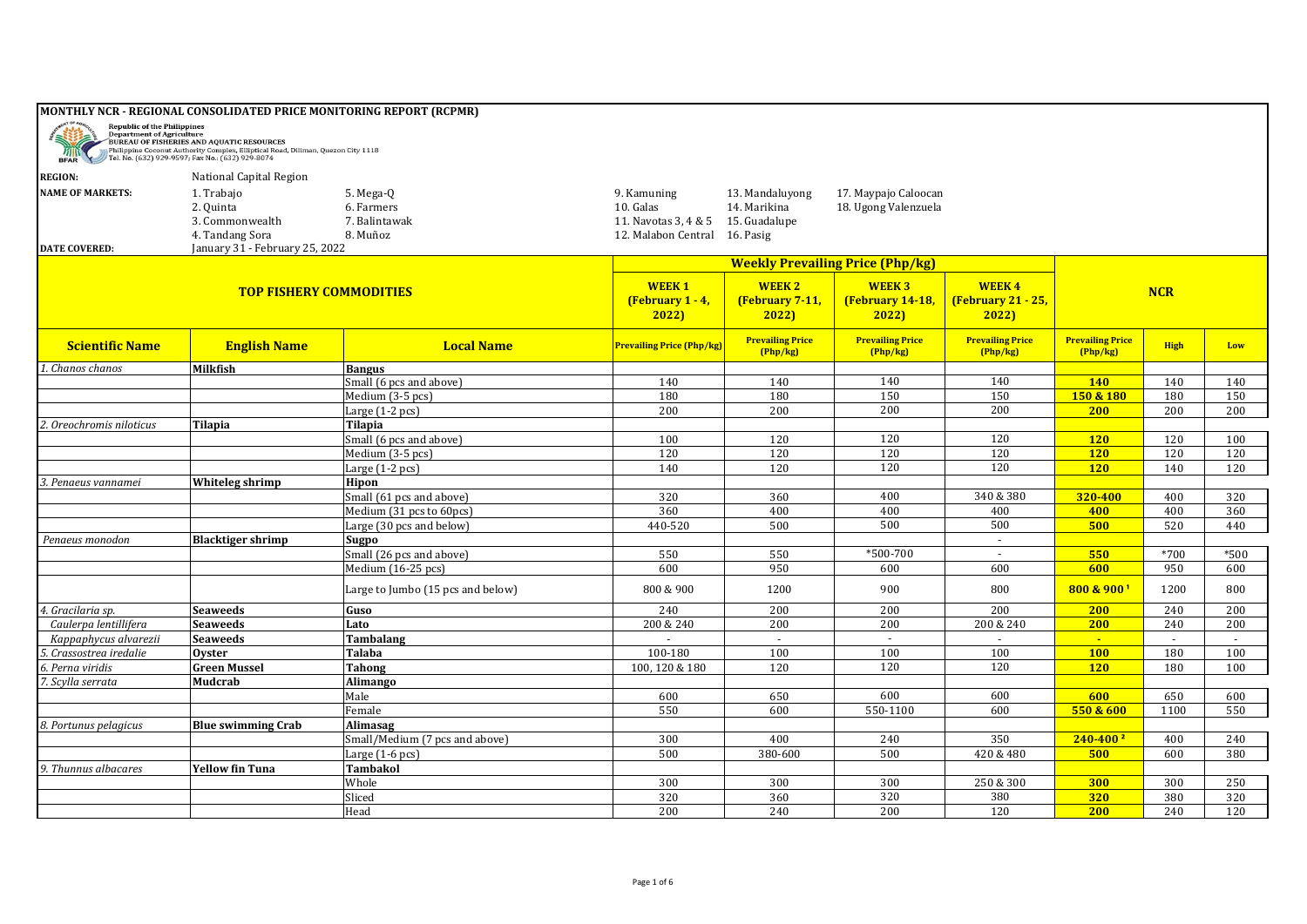| <b>BFAR</b>                                     | Republic of the Philippines<br>Department of Agriculture<br>BUREAU OF FISHERIES AND AQUATIC RESOURCES<br>Philippine Coconut Authority Complex, Elliptical Road, Diliman, Quezon City 1118<br>Tel. No. (632) 929-9597; Fax No.: (632) 929-8074 | <b>MONTHLY NCR - REGIONAL CONSOLIDATED PRICE MONITORING REPORT (RCPMR)</b> |                                                                         |                                                               |                                              |                                            |                                     |             |        |
|-------------------------------------------------|-----------------------------------------------------------------------------------------------------------------------------------------------------------------------------------------------------------------------------------------------|----------------------------------------------------------------------------|-------------------------------------------------------------------------|---------------------------------------------------------------|----------------------------------------------|--------------------------------------------|-------------------------------------|-------------|--------|
| <b>REGION:</b>                                  | National Capital Region                                                                                                                                                                                                                       |                                                                            |                                                                         |                                                               |                                              |                                            |                                     |             |        |
| <b>NAME OF MARKETS:</b><br><b>DATE COVERED:</b> | 1. Trabajo<br>2. Quinta<br>3. Commonwealth<br>4. Tandang Sora<br>January 31 - February 25, 2022                                                                                                                                               | 5. Mega-Q<br>6. Farmers<br>7. Balintawak<br>8. Muñoz                       | 9. Kamuning<br>10. Galas<br>11. Navotas 3, 4 & 5<br>12. Malabon Central | 13. Mandaluyong<br>14. Marikina<br>15. Guadalupe<br>16. Pasig | 17. Maypajo Caloocan<br>18. Ugong Valenzuela |                                            |                                     |             |        |
|                                                 |                                                                                                                                                                                                                                               |                                                                            |                                                                         |                                                               | <b>Weekly Prevailing Price (Php/kg)</b>      |                                            |                                     |             |        |
|                                                 | <b>TOP FISHERY COMMODITIES</b>                                                                                                                                                                                                                |                                                                            |                                                                         | <b>WEEK2</b><br>(February 7-11,<br>2022                       | <b>WEEK3</b><br>(February 14-18,<br>2022     | <b>WEEK4</b><br>(February 21 - 25,<br>2022 |                                     | <b>NCR</b>  |        |
| <b>Scientific Name</b>                          | <b>English Name</b>                                                                                                                                                                                                                           | <b>Local Name</b>                                                          | <b>Prevailing Price (Php/kg)</b>                                        | <b>Prevailing Price</b><br>(Php/kg)                           | <b>Prevailing Price</b><br>(Php/kg)          | <b>Prevailing Price</b><br>(Php/kg)        | <b>Prevailing Price</b><br>(Php/kg) | <b>High</b> | Low    |
| 1. Chanos chanos                                | Milkfish                                                                                                                                                                                                                                      | <b>Bangus</b>                                                              |                                                                         |                                                               |                                              |                                            |                                     |             |        |
|                                                 |                                                                                                                                                                                                                                               | Small (6 pcs and above)                                                    | 140                                                                     | 140                                                           | 140                                          | 140                                        | <b>140</b>                          | 140         | 140    |
|                                                 |                                                                                                                                                                                                                                               | Medium (3-5 pcs)                                                           | 180                                                                     | 180                                                           | 150                                          | 150                                        | 150 & 180                           | 180         | 150    |
|                                                 |                                                                                                                                                                                                                                               | Large $(1-2 pcs)$                                                          | 200                                                                     | 200                                                           | 200                                          | 200                                        | <b>200</b>                          | 200         | 200    |
| 2. Oreochromis niloticus                        | Tilapia                                                                                                                                                                                                                                       | <b>Tilapia</b>                                                             |                                                                         |                                                               |                                              |                                            |                                     |             |        |
|                                                 |                                                                                                                                                                                                                                               | Small (6 pcs and above)                                                    | 100                                                                     | 120                                                           | 120                                          | 120                                        | <b>120</b>                          | 120         | 100    |
|                                                 |                                                                                                                                                                                                                                               | Medium (3-5 pcs)                                                           | 120                                                                     | 120                                                           | 120                                          | 120                                        | <b>120</b>                          | 120         | 120    |
|                                                 |                                                                                                                                                                                                                                               | Large $(1-2 pcs)$                                                          | 140                                                                     | 120                                                           | 120                                          | 120                                        | <b>120</b>                          | 140         | 120    |
| Penaeus vannamei                                | Whiteleg shrimp                                                                                                                                                                                                                               | Hipon<br>Small (61 pcs and above)                                          | 320                                                                     | 360                                                           | 400                                          | 340 & 380                                  | 320-400                             | 400         | 320    |
|                                                 |                                                                                                                                                                                                                                               | Medium (31 pcs to 60pcs)                                                   | 360                                                                     | 400                                                           | 400                                          | 400                                        | 400                                 | 400         | 360    |
|                                                 |                                                                                                                                                                                                                                               | Large (30 pcs and below)                                                   | 440-520                                                                 | 500                                                           | 500                                          | 500                                        | 500                                 | 520         | 440    |
| Penaeus monodon                                 | <b>Blacktiger shrimp</b>                                                                                                                                                                                                                      | Sugpo                                                                      |                                                                         |                                                               |                                              | $\sim$                                     |                                     |             |        |
|                                                 |                                                                                                                                                                                                                                               | Small (26 pcs and above)                                                   | 550                                                                     | 550                                                           | *500-700                                     | $\mathbf{r}$                               | 550                                 | $*700$      | $*500$ |
|                                                 |                                                                                                                                                                                                                                               | Medium (16-25 pcs)                                                         | 600                                                                     | 950                                                           | 600                                          | 600                                        | 600                                 | 950         | 600    |
|                                                 |                                                                                                                                                                                                                                               |                                                                            |                                                                         |                                                               |                                              |                                            |                                     |             |        |
|                                                 |                                                                                                                                                                                                                                               | Large to Jumbo (15 pcs and below)                                          | 800 & 900                                                               | 1200                                                          | 900                                          | 800                                        | 800 & 9001                          | 1200        | 800    |
| 4. Gracilaria sp.                               | Seaweeds                                                                                                                                                                                                                                      | Guso                                                                       | 240                                                                     | 200                                                           | 200                                          | 200                                        | <b>200</b>                          | 240         | 200    |
| Caulerpa lentillifera                           | <b>Seaweeds</b>                                                                                                                                                                                                                               | Lato                                                                       | 200 & 240                                                               | 200                                                           | 200                                          | 200 & 240                                  | 200                                 | 240         | 200    |
| Kappaphycus alvarezii                           | <b>Seaweeds</b>                                                                                                                                                                                                                               | Tambalang                                                                  | $\sim$                                                                  | $\sim$                                                        | $\sim$                                       | $\sim$                                     | $\sim$                              | $\sim$      | $\sim$ |
| 5. Crassostrea iredalie                         | Ovster                                                                                                                                                                                                                                        | Talaba                                                                     | 100-180                                                                 | 100                                                           | 100                                          | 100                                        | <b>100</b>                          | 180         | 100    |
| 6. Perna viridis                                | <b>Green Mussel</b>                                                                                                                                                                                                                           | Tahong                                                                     | 100, 120 & 180                                                          | 120                                                           | 120                                          | 120                                        | <b>120</b>                          | 180         | 100    |
| 7. Scylla serrata                               | Mudcrab                                                                                                                                                                                                                                       | <b>Alimango</b>                                                            |                                                                         |                                                               |                                              |                                            |                                     |             |        |
|                                                 |                                                                                                                                                                                                                                               | Male                                                                       | 600                                                                     | 650                                                           | 600                                          | 600                                        | 600                                 | 650         | 600    |
|                                                 |                                                                                                                                                                                                                                               | Female                                                                     | 550                                                                     | 600                                                           | 550-1100                                     | 600                                        | 550 & 600                           | 1100        | 550    |
| 8. Portunus pelagicus                           | <b>Blue swimming Crab</b>                                                                                                                                                                                                                     | Alimasag                                                                   |                                                                         |                                                               |                                              |                                            |                                     |             |        |
|                                                 |                                                                                                                                                                                                                                               | Small/Medium (7 pcs and above)                                             | 300                                                                     | 400                                                           | 240                                          | 350                                        | $240 - 4002$                        | 400         | 240    |
|                                                 |                                                                                                                                                                                                                                               | Large $(1-6$ pcs $)$                                                       | 500                                                                     | 380-600                                                       | 500                                          | 420 & 480                                  | 500                                 | 600         | 380    |
| 9. Thunnus albacares                            | <b>Yellow fin Tuna</b>                                                                                                                                                                                                                        | Tambakol                                                                   |                                                                         |                                                               |                                              |                                            |                                     |             |        |
|                                                 |                                                                                                                                                                                                                                               | Whole                                                                      | 300                                                                     | 300                                                           | 300                                          | 250 & 300                                  | 300                                 | 300         | 250    |
|                                                 |                                                                                                                                                                                                                                               | Sliced                                                                     | 320                                                                     | 360                                                           | 320                                          | 380                                        | 320                                 | 380         | 320    |
|                                                 |                                                                                                                                                                                                                                               | Head                                                                       | 200                                                                     | 240                                                           | 200                                          | 120                                        | 200                                 | 240         | 120    |

## Page 1 of 6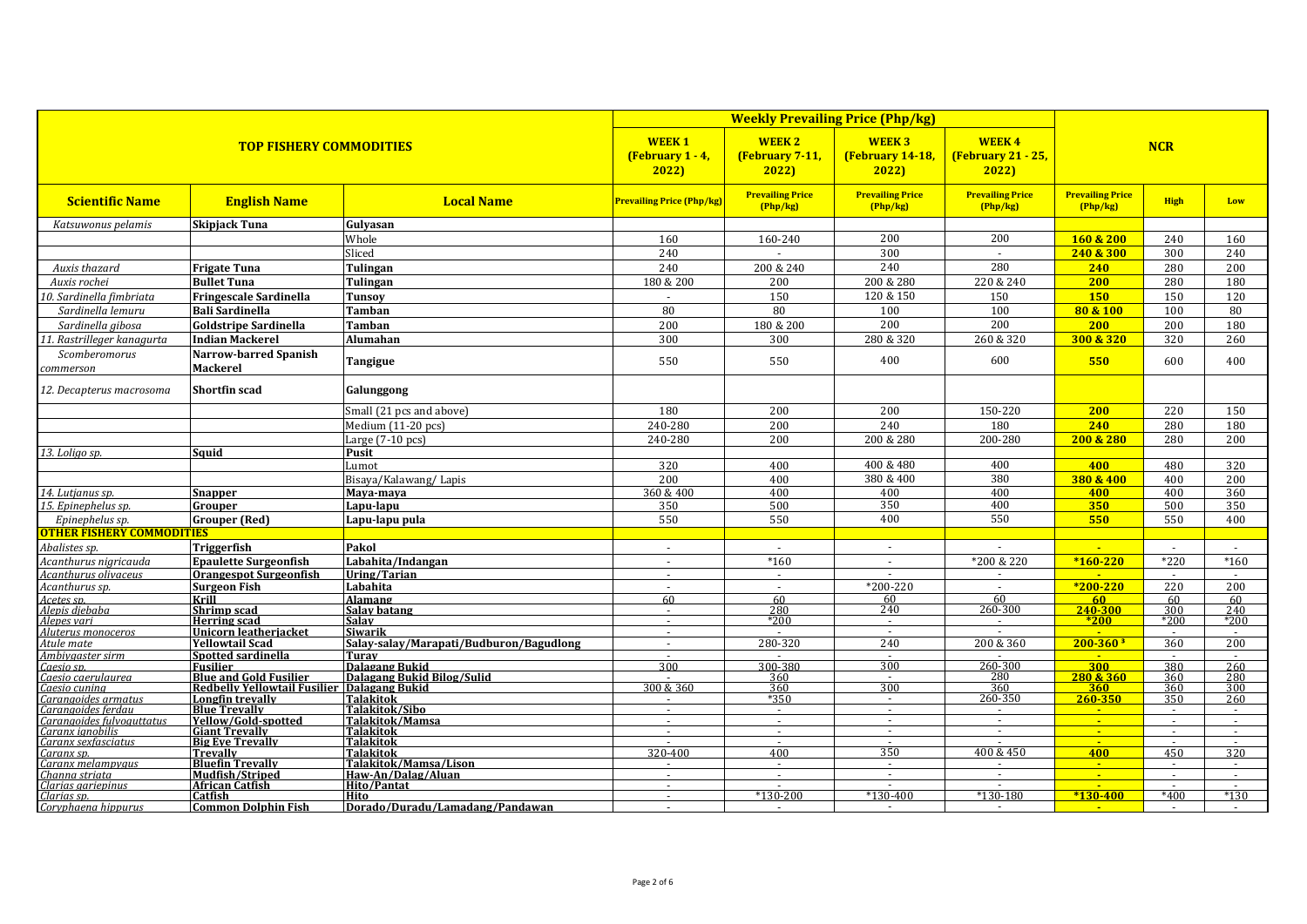|                                               | <b>TOP FISHERY COMMODITIES</b>                   |                                                     | <b>WEEK1</b><br>(February $1 - 4$ ,<br>2022 | <b>WEEK2</b><br>(February 7-11,<br>2022 | <b>WEEK3</b><br>(February 14-18,<br>2022) | <b>WEEK4</b><br>(February 21 - 25,<br>2022 |                                     |                  |                  |
|-----------------------------------------------|--------------------------------------------------|-----------------------------------------------------|---------------------------------------------|-----------------------------------------|-------------------------------------------|--------------------------------------------|-------------------------------------|------------------|------------------|
| <b>Scientific Name</b>                        | <b>English Name</b>                              | <b>Local Name</b>                                   | <b>Prevailing Price (Php/kg)</b>            | <b>Prevailing Price</b><br>(Php/kg)     | <b>Prevailing Price</b><br>(Php/kg)       | <b>Prevailing Price</b><br>(Php/kg)        | <b>Prevailing Price</b><br>(Php/kg) | <b>High</b>      | Low              |
| Katsuwonus pelamis                            | <b>Skipjack Tuna</b>                             | Gulvasan                                            |                                             |                                         |                                           |                                            |                                     |                  |                  |
|                                               |                                                  | Whole                                               | 160                                         | 160-240                                 | 200                                       | 200                                        | 160 & 200                           | 240              | 160              |
|                                               |                                                  | Sliced                                              | 240                                         |                                         | 300                                       | $\sim$                                     | 240 & 300                           | 300              | 240              |
| Auxis thazard                                 | <b>Frigate Tuna</b>                              | Tulingan                                            | 240                                         | 200 & 240                               | 240                                       | 280                                        | 240                                 | 280              | 200              |
| Auxis rochei                                  | <b>Bullet Tuna</b>                               | Tulingan                                            | 180 & 200                                   | 200                                     | 200 & 280                                 | 220 & 240                                  | 200                                 | 280              | 180              |
| 0. Sardinella fimbriata                       | <b>Fringescale Sardinella</b>                    | <b>Tunsov</b>                                       | $\sim$                                      | 150                                     | 120 & 150                                 | 150                                        | <b>150</b>                          | 150              | 120              |
| Sardinella lemuru                             | <b>Bali Sardinella</b>                           | <b>Tamban</b>                                       | 80                                          | 80                                      | 100                                       | 100                                        | 80 & 100                            | 100              | 80               |
| Sardinella gibosa                             | <b>Goldstripe Sardinella</b>                     | <b>Tamban</b>                                       | 200                                         | 180 & 200                               | 200                                       | 200                                        | 200                                 | 200              | 180              |
| 1. Rastrilleger kanagurta                     | <b>Indian Mackerel</b>                           | Alumahan                                            | 300                                         | 300                                     | 280 & 320                                 | 260 & 320                                  | 300 & 320                           | 320              | 260              |
| Scomberomorus                                 | <b>Narrow-barred Spanish</b>                     |                                                     |                                             |                                         |                                           |                                            |                                     |                  |                  |
| commerson                                     | <b>Mackerel</b>                                  | Tangigue                                            | 550                                         | 550                                     | 400                                       | 600                                        | 550                                 | 600              | 400              |
| 12. Decapterus macrosoma                      | <b>Shortfin scad</b>                             | Galunggong                                          |                                             |                                         |                                           |                                            |                                     |                  |                  |
|                                               |                                                  | Small (21 pcs and above)                            | 180                                         | 200                                     | 200                                       | 150-220                                    | 200                                 | 220              | 150              |
|                                               |                                                  | Medium (11-20 pcs)                                  | 240-280                                     | 200                                     | 240                                       | 180                                        | 240                                 | 280              | 180              |
|                                               |                                                  | Large $(7-10)$ pcs)                                 | 240-280                                     | 200                                     | 200 & 280                                 | 200-280                                    | 200 & 280                           | 280              | 200              |
| 13. Loliao sp                                 | Sauid                                            | Pusit                                               |                                             |                                         |                                           |                                            |                                     |                  |                  |
|                                               |                                                  | Lumot                                               | 320                                         | 400                                     | 400 & 480                                 | 400                                        | 400                                 | 480              | 320              |
|                                               |                                                  | Bisaya/Kalawang/Lapis                               | 200                                         | 400                                     | 380 & 400                                 | 380                                        | 380 & 400                           | 400              | 200              |
| 14. Lutjanus sp.                              | <b>Snapper</b>                                   | Maya-maya                                           | 360 & 400                                   | 400                                     | 400                                       | 400                                        | 400                                 | 400              | 360              |
| 15. Epinephelus sp.                           | Grouper                                          | Lapu-lapu                                           | 350                                         | 500                                     | 350                                       | 400                                        | 350                                 | 500              | 350              |
| Epinephelus sp.                               | <b>Grouper</b> (Red)                             | Lapu-lapu pula                                      | 550                                         | 550                                     | 400                                       | 550                                        | 550                                 | 550              | 400              |
| <b>OTHER FISHERY COMMODITIES</b>              |                                                  |                                                     |                                             |                                         |                                           |                                            |                                     |                  |                  |
| Abalistes sp.                                 | Triggerfish                                      | Pakol                                               | $\sim$                                      | $\sim$                                  | $\sim$                                    | $\mathbf{r}$                               | $\mathbf{u}$                        | $\sim$           | $\sim$           |
| Acanthurus nigricauda                         | <b>Epaulette Surgeonfish</b>                     | Labahita/Indangan                                   | $\sim$                                      | $*160$                                  | $\sim$                                    | *200 & 220                                 | $*160-220$                          | $*220$           | $*160$           |
| Acanthurus olivaceus                          | <b>Orangespot Surgeonfish</b>                    | Uring/Tarian                                        | $\sim$                                      | $\sim$                                  | $\sim$                                    | $\sim$                                     | $\blacksquare$                      | $\sim$           | $\sim$           |
| Acanthurus sp.                                | <b>Surgeon Fish</b>                              | Labahita                                            |                                             |                                         | $*200 - 220$                              |                                            | $*200 - 220$                        | 220              | 200              |
| Acetes sp.<br>Alepis diebaba                  | Krill<br>Shrimp scad                             | Alamang<br>Salav batang                             | 60<br>$\sim$                                | 60<br>280                               | 60<br>240                                 | 60<br>260-300                              | $60 -$<br>240-300                   | 60<br>300        | 60<br>240        |
| Alepes vari                                   | <b>Herring scad</b>                              | <b>Salav</b>                                        | $\sim$                                      | $*200$                                  | $\sim$                                    |                                            | $*200$                              | *200             | *200             |
| Aluterus monoceros                            | <b>Unicorn leatheriacket</b>                     | Siwarik                                             | $\sim$                                      |                                         | $\sim$                                    |                                            |                                     |                  |                  |
| Atule mate                                    | <b>Yellowtail Scad</b>                           | Salay-salay/Marapati/Budburon/Bagudlong             | $\sim$                                      | 280-320                                 | 240                                       | 200 & 360                                  | $200 - 360$ <sup>3</sup>            | 360              | 200              |
| Ambiygaster sirm                              | Spotted sardinella                               | Turav                                               | $\sim$<br>300                               |                                         | $\sim$<br>300                             | $\sim$                                     | <b>Carlos</b>                       | $\sim$           | $\sim$           |
| Caesio sp.<br>Caesio caerulaurea              | <b>Fusilier</b><br><b>Blue and Gold Fusilier</b> | <b>Dalagang Bukid</b><br>Dalagang Bukid Bilog/Sulid |                                             | 300-380<br>360                          | $\sim$                                    | 260-300<br>$\frac{280}{280}$               | 300<br>280 & 360                    | 380<br>360       | 260<br>280       |
| Caesio cunina                                 | <b>Redbelly Yellowtail Fusilier</b>              | Dalagang Bukid                                      | 300 & 360                                   | 360                                     | 300                                       | 360                                        | 360                                 | 360              | 300              |
| Carangoides armatus                           | Longfin trevally                                 | <b>Talakitok</b>                                    |                                             | *350                                    | $\sim$                                    | 260-350                                    | 260-350                             | 350              | 260              |
| Carangoides ferdau                            | <b>Blue Trevally</b>                             | Talakitok/Sibo                                      | $\sim$                                      | $\sim$                                  | $\sim$                                    | $\sim$                                     |                                     |                  |                  |
| Carangoides fulvoauttatus<br>Caranx ignobilis | Yellow/Gold-spotted<br><b>Giant Trevally</b>     | Talakitok/Mamsa<br>Talakitok                        | $\sim$<br>$\sim$                            | $\sim$<br>$\sim$                        | $\sim$<br>$\sim$                          | $\sim$<br>$\sim$                           | $\mathbf{u}$ .<br>$\sim$            | $\sim$<br>$\sim$ | $\sim$<br>$\sim$ |
| Caranx sexfasciatus                           | <b>Big Eve Trevally</b>                          | <b>Talakitok</b>                                    |                                             | $\sim$                                  | $\sim$                                    |                                            | $\mathbf{u}$                        | $\sim$           | $\sim$           |
| Caranx sp.                                    | <b>Trevally</b>                                  | Talakitok                                           | 320-400                                     | 400                                     | 350                                       | 400 & 450                                  | 400                                 | 450              | 320              |
| Caranx melampyaus                             | <b>Bluefin Trevally</b>                          | Talakitok/Mamsa/Lison                               | $\sim$                                      | $\sim$                                  | $\sim$<br>$\sim$                          | $\sim$<br>$\sim$                           | $\sim$<br>$\mathbf{u}$              | $\sim$           | $\sim$           |
| Channa striata<br>Clarias aariepinus          | Mudfish/Striped<br><b>African Catfish</b>        | Haw-An/Dalag/Aluan<br><b>Hito/Pantat</b>            | $\sim$                                      |                                         |                                           |                                            |                                     |                  |                  |
| Clarias sp.                                   | Catfish                                          | Hito                                                | $\sim$                                      | $*130-200$                              | $*130-400$                                | $*130-180$                                 | $*130 - 400$                        | $*400$           | $*130$           |
| Coryphaena hippurus                           | Common Dolphin Fish                              | Dorado/Duradu/Lamadang/Pandawan                     | $\sim$                                      | $\sim$                                  | $\sim$                                    | $\sim$                                     |                                     | <b>Section</b>   | $\sim$           |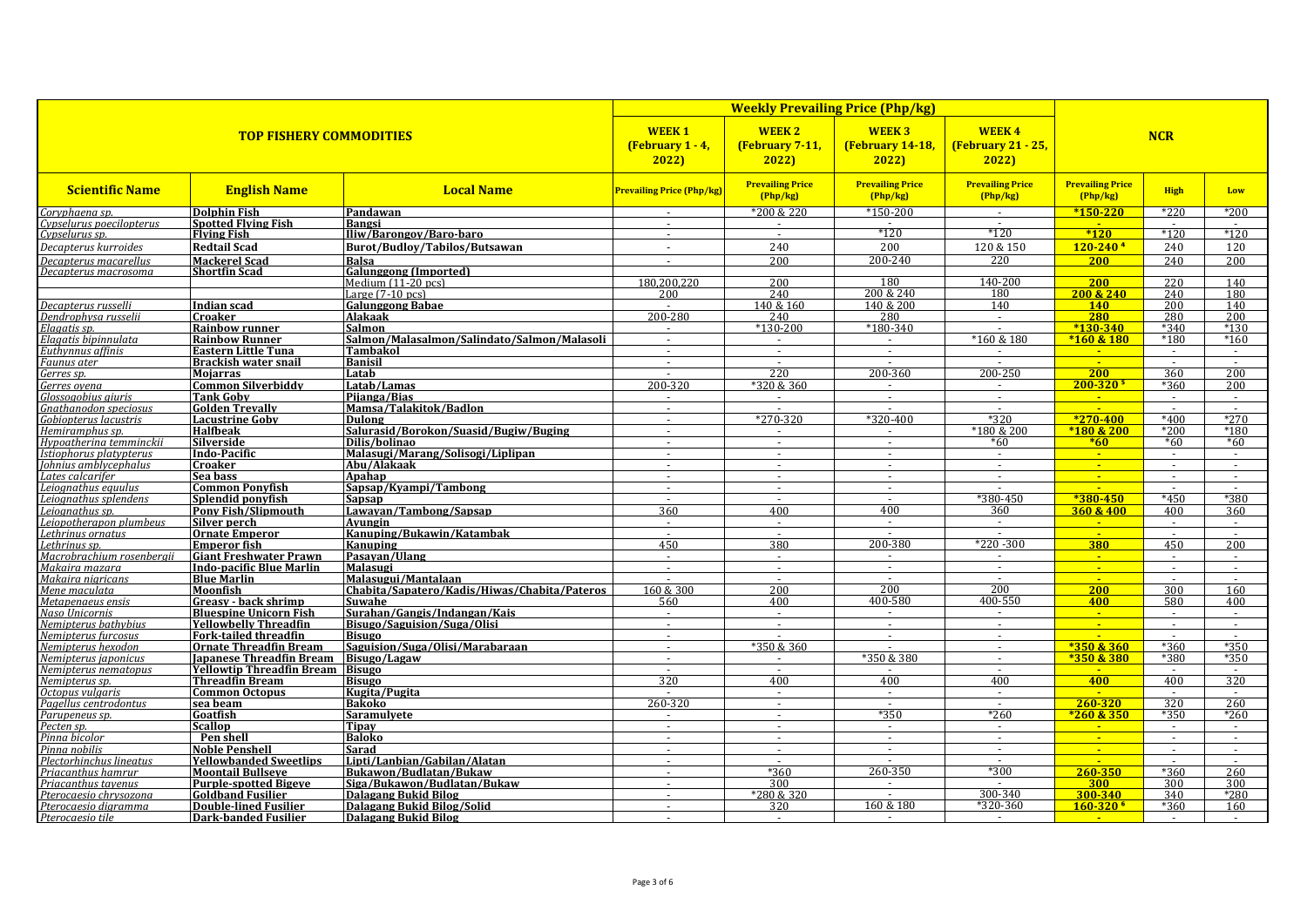|                                                                                                          | <b>TOP FISHERY COMMODITIES</b>                        |                                                      |                                  | <b>WEEK2</b><br>(February 7-11,<br>2022 | <b>WEEK3</b><br><b>(February 14-18,</b><br>2022) | <b>WEEK4</b><br>(February 21 - 25,<br>2022) | <b>NCR</b>                                 |                  |                          |  |
|----------------------------------------------------------------------------------------------------------|-------------------------------------------------------|------------------------------------------------------|----------------------------------|-----------------------------------------|--------------------------------------------------|---------------------------------------------|--------------------------------------------|------------------|--------------------------|--|
| <b>Scientific Name</b>                                                                                   | <b>English Name</b>                                   | <b>Local Name</b>                                    | <b>Prevailing Price (Php/kg)</b> | <b>Prevailing Price</b><br>(Php/kg)     | <b>Prevailing Price</b><br>(Php/kg)              | <b>Prevailing Price</b><br>(Php/kg)         | <b>Prevailing Price</b><br>(Php/kg)        | <b>High</b>      | Low                      |  |
| Coryphaena sp.                                                                                           | Dolphin Fish                                          | Pandawan                                             | $\sim$                           | *200 & 220                              | $*150-200$                                       | $\sim$                                      | $*150-220$                                 | $*220$           | *200                     |  |
| Cypselurus poecilopterus<br>Cypselurus sp.                                                               | <b>Spotted Flying Fish</b>                            | Bangsi                                               | $\sim$                           |                                         |                                                  | $\sim$                                      | <b>Section</b>                             |                  |                          |  |
|                                                                                                          | <b>Flying Fish</b>                                    | Iliw/Barongov/Baro-baro                              | $\sim$                           | $\sim$                                  | $*120$                                           | $*120$                                      | $*120$                                     | $*120$           | $*120$                   |  |
| Decapterus kurroides                                                                                     | <b>Redtail Scad</b>                                   | Burot/Budlov/Tabilos/Butsawan                        | $\sim$                           | 240                                     | 200                                              | 120 & 150                                   | $120 - 240$ <sup>4</sup>                   | 240              | 120                      |  |
| Decapterus macarellus                                                                                    | <b>Mackerel Scad</b>                                  | Ralsa                                                |                                  | 200                                     | 200-240                                          | 220                                         | <b>200</b>                                 | 240              | 200                      |  |
| Decapterus macrosoma                                                                                     | <b>Shortfin Scad</b>                                  | <b>Galunggong (Imported)</b><br>Medium $(11-20$ pcs) | 180.200.220                      | 200                                     | 180                                              | 140-200                                     | 200                                        | 220              | 140                      |  |
|                                                                                                          |                                                       | Large (7-10 pcs)                                     | 200                              | 240                                     | 200 & 240                                        | 180                                         | 200 & 240                                  | 240              | 180                      |  |
| Decapterus russelli                                                                                      | <b>Indian scad</b>                                    | <b>Galunggong Babae</b>                              |                                  | 140 & 160                               | 140 & 200                                        | 140                                         | <b>140</b>                                 | 200              | 140                      |  |
| Dendrophysa russelii                                                                                     | <b>Croaker</b>                                        | Alakaak                                              | 200-280                          | 240                                     | 280                                              | $\sim$                                      | 280                                        | 280              | $\overline{200}$         |  |
| Elagatis sp.                                                                                             | <b>Rainbow runner</b>                                 | Salmon                                               | $\sim$                           | $*130-200$                              | $*180-340$                                       | $\sim$                                      | $*130-340$                                 | *340             | $*130$                   |  |
| Elagatis bipinnulata                                                                                     | <b>Rainbow Runner</b>                                 | Salmon/Malasalmon/Salindato/Salmon/Malasoli          | $\sim$                           | $\sim$                                  | $\sim$                                           | *160 & 180                                  | $*160 & 180$                               | *180             | $*160$                   |  |
| <b>Euthynnus affinis<br/>Euthynnus affinis<br/>Faunus ater</b><br>Gerres sp.                             | <b>Eastern Little Tuna</b>                            | <b>Tambakol</b>                                      | $\sim$                           | $\sim$                                  | $\sim$                                           |                                             | $\sim$                                     | $\sim$           |                          |  |
|                                                                                                          | <b>Brackish water snail</b>                           | <b>Banisil</b>                                       | $\sim$<br>$\sim$                 | $\sim$<br>220                           | $\sim$<br>200-360                                | $\sim$<br>$200 - 250$                       | <b>Card</b><br>200                         | $\sim$<br>360    | $\sim$<br>200            |  |
|                                                                                                          | Mojarras<br><b>Common Silverbiddy</b>                 | Latab<br>Latab/Lamas                                 | 200-320                          | *320 & 360                              | $\sim$                                           | $\sim$                                      | $200 - 320$ <sup>5</sup>                   | *360             | 200                      |  |
| Gerres ovena<br>Glossoaobius aiuris                                                                      | <b>Tank Goby</b>                                      | Pijanga/Bias                                         | $\sim$                           | $\sim$                                  | $\sim$                                           | $\sim$                                      | $\sim$                                     | $\sim$           | $\sim$                   |  |
| Gnathanodon speciosus                                                                                    | <b>Golden Trevally</b>                                | Mamsa/Talakitok/Badlon                               | $\sim$                           |                                         | $\sim$                                           | $\sim$                                      | $\mathbf{u}$                               | $\sim$           | $\sim$                   |  |
| Gobiopterus lacustris                                                                                    | <b>Lacustrine Goby</b>                                | Dulong                                               |                                  | $*270-320$                              | $*320 - 400$                                     | $*320$                                      | $*270 - 400$                               | $*400$           | $*270$                   |  |
| Hemiramphus sp.                                                                                          | <b>Halfbeak</b>                                       | Salurasid/Borokon/Suasid/Bugiw/Buging                | $\sim$                           | $\sim$                                  | $\sim$                                           | *180 & 200                                  | *180 & 200                                 | *200             | *180                     |  |
| Hypoatherina temminckii                                                                                  | Silverside                                            | Dilis/bolinao                                        |                                  |                                         | $\sim$                                           | $*60$                                       | $*60$                                      | $*60$            | $*60$                    |  |
| Istiophorus platypterus                                                                                  | Indo-Pacific                                          | Malasugi/Marang/Solisogi/Liplipan                    |                                  | $\sim$                                  | $\sim$                                           | $\blacksquare$                              | $\sim$                                     | $\sim$           | $\sim$                   |  |
| Iohnius amblycephalus                                                                                    | <b>Croaker</b>                                        | Abu/Alakaak                                          | $\sim$                           | $\sim$                                  | $\sim$                                           | $\sim$                                      | $\sim$                                     | $\sim$           | $\sim$                   |  |
| Lates calcarifer                                                                                         | Sea bass                                              | Apahap                                               | $\sim$                           | $\sim$                                  | $\sim$                                           | $\omega$                                    | $\sim$                                     | $\sim$           | $\sim$                   |  |
| Leiognathus equulus<br>Leiognathus splendens                                                             | <b>Common Ponyfish</b><br>Splendid ponyfish           | Sapsap/Kyampi/Tambong                                | $\sim$<br>$\sim$                 | $\sim$                                  | $\sim$<br>$\sim$                                 | $\mathbf{r}$<br>$*380 - 450$                | ÷<br>$*380 - 450$                          | $\sim$<br>$*450$ | $\sim$<br>$*380$         |  |
| Leiognathus sp.                                                                                          | <b>Pony Fish/Slipmouth</b>                            | Sapsap<br>Lawayan/Tambong/Sapsap                     | 360                              | $\sim$<br>400                           | 400                                              | 360                                         | 360 & 400                                  | 400              | 360                      |  |
| Leiopotherapon plumbeus                                                                                  | Silver perch                                          | Avungin                                              | $\sim$                           | $\sim$                                  | $\sim$                                           | $\sim$                                      | $\sim$                                     | $\sim$           | $\sim$                   |  |
| Lethrinus ornatus                                                                                        | <b>Ornate Emperor</b>                                 | Kanuping/Bukawin/Katambak                            | $\sim$                           | $\sim$                                  | $\sim$                                           | $\sim$                                      | $\sim$                                     | $\sim$           |                          |  |
| Lethrinus sp.                                                                                            | <b>Emperor fish</b>                                   | Kanuping                                             | 450                              | 380                                     | 200-380                                          | $*220 - 300$                                | 380                                        | 450              | 200                      |  |
| Macrobrachium rosenbergii                                                                                | <b>Giant Freshwater Prawn</b>                         | Pasayan/Ulang                                        | $\sim$                           | $\sim$                                  | $\sim$                                           | $\blacksquare$                              | $\mathbf{u}$                               | $\sim$           | $\sim$                   |  |
| Makaira mazara                                                                                           | <b>Indo-pacific Blue Marlin</b>                       | Malasugi                                             | $\sim$                           | $\sim$                                  | $\sim$                                           | $\sim$                                      | $\sim$                                     | $\sim$           | $\sim$                   |  |
| Makaira nigricans                                                                                        | <b>Blue Marlin</b>                                    | Malasugui/Mantalaan                                  | $\sim$                           | $\sim$                                  | $\sim$                                           | $\sim$                                      | <b>Participate</b>                         | $\sim$           |                          |  |
| Mene maculata                                                                                            | Moonfish                                              | Chabita/Sapatero/Kadis/Hiwas/Chabita/Pateros         | 160 & 300                        | 200<br>400                              | 200<br>400-580                                   | 200<br>400-550                              | 200<br>400                                 | 300<br>580       | 160<br>400               |  |
| Metapenaeus ensis<br>Naso Unicornis                                                                      | Greasy - back shrimp<br><b>Bluespine Unicorn Fish</b> | Suwahe<br>Surahan/Gangis/Indangan/Kais               | 560<br>in 1999.                  | $\sim$                                  | $\sim$                                           | $\sim$                                      | $\sim$                                     | $\sim$           |                          |  |
| Nemipterus bathybius                                                                                     | <b>Yellowbelly Threadfin</b>                          | Bisugo/Saguision/Suga/Olisi                          |                                  |                                         | $\sim$                                           | $\sim$                                      | $\mathcal{L}_{\mathcal{C}}$                | $\omega$         |                          |  |
| Nemipterus furcosus                                                                                      | <b>Fork-tailed threadfin</b>                          | Bisugo                                               | $\sim$                           |                                         | $\sim$                                           | $\sim$                                      | a.                                         | $\sim$           | $\sim$                   |  |
| Nemipterus hexodon                                                                                       | <b>Ornate Threadfin Bream</b>                         | Saguision/Suga/Olisi/Marabaraan                      | $\sim$                           | *350 & 360                              |                                                  | $\sim$                                      | $*350&360$                                 | $*360$           | $*350$                   |  |
| Nemipterus japonicus                                                                                     | <b>Iapanese Threadfin Bream</b>                       | Bisugo/Lagaw                                         | $\sim$                           |                                         | *350 & 380                                       | $\sim$                                      | *350 & 380                                 | *380             | *350                     |  |
| Nemipterus nematopus                                                                                     | <b>Yellowtip Threadfin Bream</b>                      | <b>Bisugo</b>                                        | $\sim$                           |                                         |                                                  | $\overline{\phantom{a}}$                    |                                            | $\sim$           | $\overline{\phantom{a}}$ |  |
| Nemipterus sp.                                                                                           | <b>Threadfin Bream</b>                                | Bisugo                                               | 320                              | 400                                     | 400                                              | 400                                         | 400                                        | 400              | 320                      |  |
| <i>Octopus vulgaris</i><br><i>Pagellus centrodontus</i><br>Parupeneus sp.                                | <b>Common Octopus</b>                                 | Kugita/Pugita<br>Bakoko                              | 260-320                          | $\sim$<br>$\sim$                        | $\sim$<br>$\sim$                                 | $\omega$<br>$\sim$                          | $\sim$<br>260-320                          | $\sim$<br>320    | $\sim$<br>260            |  |
|                                                                                                          | sea beam<br>Goatfish                                  | Saramulvete                                          | $\sim$                           | $\sim$                                  | $*350$                                           | $*260$                                      | $*260 & 350$                               | *350             | $*260$                   |  |
| Pecten sp.                                                                                               | <b>Scallop</b>                                        | Tipav                                                | $\sim$                           | $\sim$                                  | $\sim$                                           | $\sim$                                      | $\mathbf{u}$                               |                  |                          |  |
| Pinna bicolor                                                                                            | Pen shell                                             | Baloko                                               | $\sim$                           | $\overline{\phantom{a}}$                | $\omega$                                         | $\sim$                                      | $\sim$                                     | $\sim$           | $\sim$                   |  |
| Pinna nobilis                                                                                            | <b>Noble Penshell</b>                                 | Sarad                                                | $\sim$                           | $\sim$                                  | $\sim$                                           | $\sim$                                      | $\mathbf{u}$ .                             | $\sim$           | $\sim$                   |  |
| <i>Plectorhinchus lineatus<br/>Priacanthus hamrur<br/>Priacanthus tavenus<br/>Pterocaesio chrysozona</i> | <b>Yellowbanded Sweetlips</b>                         | Lipti/Lanbian/Gabilan/Alatan                         |                                  |                                         |                                                  | $\sim$                                      | u.                                         |                  |                          |  |
|                                                                                                          | <b>Moontail Bullseye</b>                              | Bukawon/Budlatan/Bukaw                               | $\sim$                           | *360                                    | 260-350                                          | $*300$                                      | 260-350                                    | $*360$           | 260                      |  |
|                                                                                                          | <b>Purple-spotted Bigeve</b>                          | Siga/Bukawon/Budlatan/Bukaw                          | $\sim$                           | 300                                     | $\sim$                                           |                                             | 300                                        | 300              | 300                      |  |
|                                                                                                          | <b>Goldband Fusilier</b>                              | Dalagang Bukid Bilog                                 |                                  | *280 & 320                              |                                                  | 300-340                                     | 300-340                                    | 340              | *280                     |  |
| Pterocaesio digramma<br>Pterocaesio tile                                                                 | <b>Double-lined Fusilier</b><br>Dark-banded Fusilier  | Dalagang Bukid Bilog/Solid<br>Dalagang Bukid Bilog   | $\sim$<br>$\sim$                 | 320<br>$\sim$                           | 160 & 180                                        | *320-360<br>$\sim$                          | $160 - 320$ <sup>6</sup><br><b>College</b> | $*360$<br>$\sim$ | 160<br>$\sim$            |  |
|                                                                                                          |                                                       |                                                      |                                  |                                         |                                                  |                                             |                                            |                  |                          |  |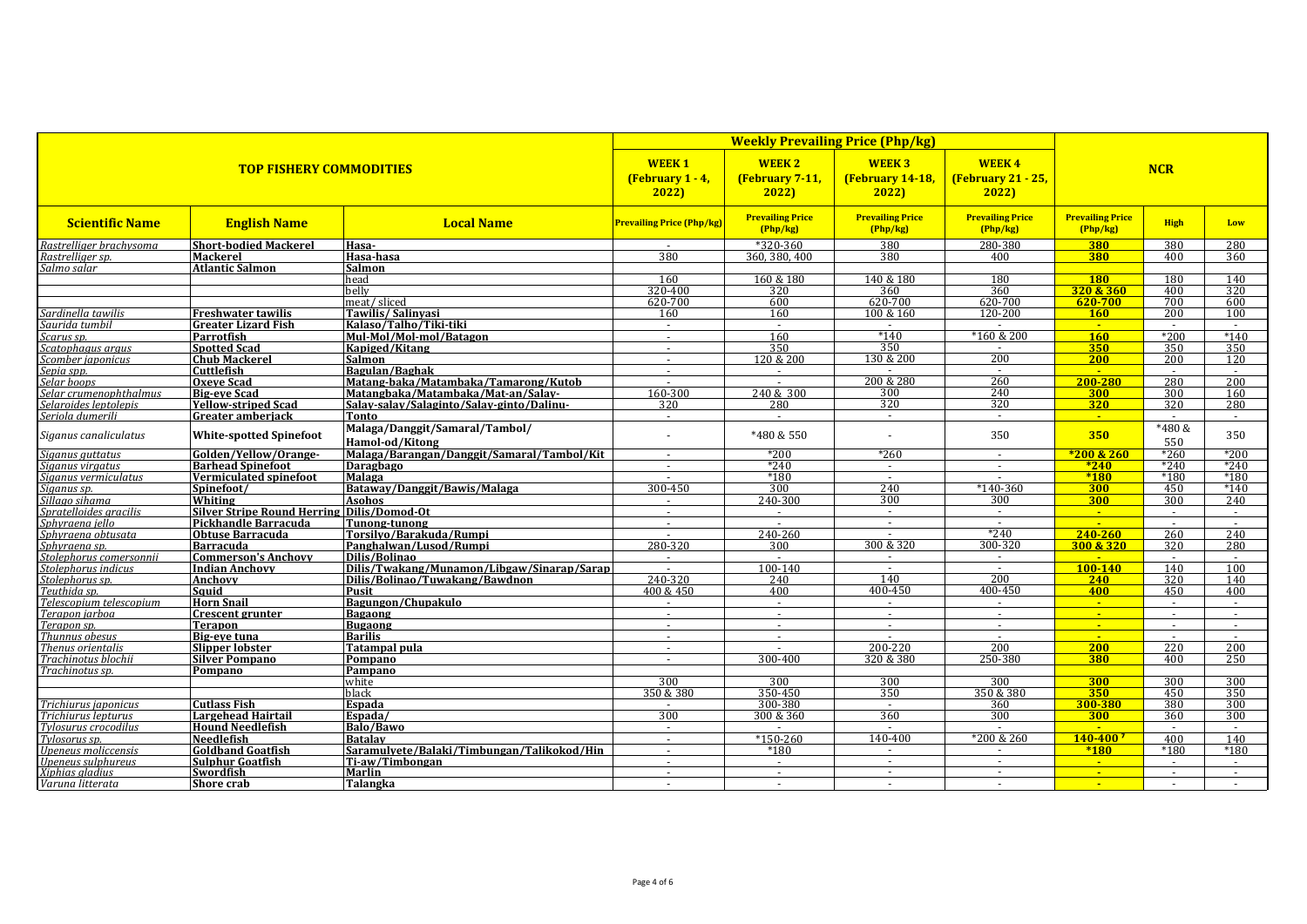|                                       | <b>TOP FISHERY COMMODITIES</b>     |                                                                            |                                  | <b>WEEK2</b><br>(February 7-11,<br>2022 | <b>WEEK3</b><br>(February 14-18,<br>2022 | <b>WEEK4</b><br>(February 21 - 25,<br>2022 | <b>NCR</b>                          |               |            |  |
|---------------------------------------|------------------------------------|----------------------------------------------------------------------------|----------------------------------|-----------------------------------------|------------------------------------------|--------------------------------------------|-------------------------------------|---------------|------------|--|
| <b>Scientific Name</b>                | <b>English Name</b>                | <b>Local Name</b>                                                          | <b>Prevailing Price (Php/kg)</b> | <b>Prevailing Price</b><br>(Php/kg)     | <b>Prevailing Price</b><br>(Php/kg)      | <b>Prevailing Price</b><br>(Php/kg)        | <b>Prevailing Price</b><br>(Php/kg) | <b>High</b>   | Low        |  |
| Rastrelliger brachysoma               | <b>Short-bodied Mackerel</b>       | Hasa-                                                                      |                                  | $*320-360$                              | 380                                      | 280-380                                    | 380                                 | 380           | 280        |  |
| Rastrelliaer sp.                      | <b>Mackerel</b>                    | Hasa-hasa                                                                  | 380                              | 360, 380, 400                           | 380                                      | 400                                        | 380                                 | 400           | 360        |  |
| Salmo salar                           | <b>Atlantic Salmon</b>             | <b>Salmon</b>                                                              |                                  |                                         |                                          |                                            |                                     |               |            |  |
|                                       |                                    | head                                                                       | 160                              | 160 & 180                               | 140 & 180                                | 180                                        | <b>180</b>                          | 180           | 140        |  |
|                                       |                                    | hellv                                                                      | 320-400                          | 320                                     | 360                                      | 360                                        | 320 & 360                           | 400           | 320        |  |
|                                       |                                    | meat/sliced                                                                | 620-700                          | 600                                     | 620-700                                  | 620-700                                    | 620-700                             | 700           | 600        |  |
| Sardinella tawilis                    | Freshwater tawilis                 | Tawilis/Salinyasi                                                          | 160                              | 160                                     | 100 & 160                                | 120-200                                    | 160                                 | 200           | $100^{-1}$ |  |
| Saurida tumbil                        | <b>Greater Lizard Fish</b>         | Kalaso/Talho/Tiki-tiki                                                     | $\sim$                           | $\sim$                                  | $\sim$                                   | $\sim$                                     | <b>Carlos</b>                       | $\sim$        | $\sim$     |  |
| Scarus sp.                            | Parrotfish                         | Mul-Mol/Mol-mol/Batagon                                                    | $\sim$                           | 160                                     | $*140$                                   | *160 & 200                                 | <b>160</b>                          | $*200$        | $*140$     |  |
| Scatophagus argus                     | <b>Spotted Scad</b>                | Kapiged/Kitang                                                             | $\sim$                           | 350                                     | 350                                      |                                            | 350                                 | 350           | 350        |  |
| Scomber iaponicus                     | <b>Chub Mackerel</b>               | Salmon                                                                     | $\sim$                           | 120 & 200                               | 130 & 200<br>$\sim$                      | 200<br>$\sim$                              | <b>200</b><br>$\mathbf{u}$          | 200           | 120        |  |
| Sepia spp.                            | Cuttlefish                         | <b>Bagulan/Baghak</b>                                                      | $\sim$                           | $\sim$                                  | 200 & 280                                | 260                                        | 200-280                             | $\sim$<br>280 | 200        |  |
| Selar boops<br>Selar crumenophthalmus | Oxeve Scad<br><b>Big-eve Scad</b>  | Matang-baka/Matambaka/Tamarong/Kutob<br>Matangbaka/Matambaka/Mat-an/Salay- | $\sim$<br>160-300                | $\sim$<br>240 & 300                     | 300                                      | 240                                        | 300                                 | 300           | 160        |  |
| Selaroides leptolepis                 | <b>Yellow-striped Scad</b>         | Salay-salay/Salaginto/Salay-ginto/Dalinu-                                  | 320                              | 280                                     | 320                                      | 320                                        | 320                                 | 320           | 280        |  |
| Seriola dumerili                      | <b>Greater amberiack</b>           | Tonto                                                                      | $\sim$                           | $\sim$                                  | $\sim$                                   | $\sim$                                     | $\sim$                              | $\sim$        | $\sim$     |  |
| Siganus canaliculatus                 | <b>White-spotted Spinefoot</b>     | Malaga/Danggit/Samaral/Tambol/<br>Hamol-od/Kitong                          | $\sim$                           | *480 & 550                              |                                          | 350                                        | 350                                 | *480 &<br>550 | 350        |  |
| Siaanus auttatus                      | Golden/Yellow/Orange-              | Malaga/Barangan/Danggit/Samaral/Tambol/Kit                                 | $\sim$                           | *200                                    | $*260$                                   | $\sim$                                     | $*200 & 260$                        | $*260$        | *200       |  |
| Siganus virgatus                      | <b>Barhead Spinefoot</b>           | <b>Daragbago</b>                                                           | $\sim$                           | $*240$                                  | $\sim$                                   | $\sim$                                     | $*240$                              | $*240$        | $*240$     |  |
| Siganus vermiculatus                  | <b>Vermiculated spinefoot</b>      | Malaga                                                                     |                                  | *180                                    | $\sim$                                   |                                            | $*180$                              | *180          | $*180$     |  |
| Siaanus sp.                           | Spinefoot/                         | Bataway/Danggit/Bawis/Malaga                                               | 300-450                          | 300                                     | 240                                      | $*140-360$                                 | 300                                 | 450           | $*140$     |  |
| Sillago sihama                        | Whiting                            | <b>Asohos</b>                                                              | $\sim$                           | 240-300                                 | 300                                      | 300                                        | 300                                 | 300           | 240        |  |
| Spratelloides gracilis                | <b>Silver Stripe Round Herring</b> | Dilis/Domod-Ot                                                             | $\sim$                           | $\sim$                                  | $\sim$                                   | $\sim$                                     | <b>Carlos</b>                       | $\sim$        | $\sim$     |  |
| Sphyraena iello                       | Pickhandle Barracuda               | <b>Tunong-tunong</b>                                                       | $\sim$                           | $\sim$                                  | $\sim$                                   | $\sim$                                     | <b>College</b>                      | $\sim$        | $\sim$     |  |
| Sphyraena obtusata                    | <b>Obtuse Barracuda</b>            | Torsilyo/Barakuda/Rumpi                                                    | $\sim$                           | 240-260                                 | $\sim$                                   | $*240$                                     | 240-260                             | 260           | 240        |  |
| Sphvraena sp.                         | <b>Barracuda</b>                   | Panghalwan/Lusod/Rumpi                                                     | 280-320                          | 300                                     | 300 & 320                                | 300-320                                    | 300 & 320                           | 320           | 280        |  |
| Stolephorus comersonnii               | <b>Commerson's Anchovy</b>         | Dilis/Bolinao                                                              |                                  | $\sim$                                  |                                          | $\sim$                                     |                                     | $\sim$        |            |  |
| Stolephorus indicus                   | <b>Indian Anchovy</b>              | Dilis/Twakang/Munamon/Libgaw/Sinarap/Sarap                                 | $\sim$                           | 100-140                                 | $\sim$                                   | $\sim$                                     | $100 - 140$                         | 140           | 100        |  |
| Stolephorus sp.                       | Anchovy                            | Dilis/Bolinao/Tuwakang/Bawdnon                                             | 240-320                          | 240                                     | 140                                      | 200                                        | 240                                 | 320           | 140        |  |
| Teuthida sp.                          | Sauid                              | Pusit                                                                      | 400 & 450                        | 400                                     | 400-450                                  | 400-450                                    | 400                                 | 450           | 400        |  |
| Telescopium telescopium               | <b>Horn Snail</b>                  | Bagungon/Chupakulo                                                         | $\sim$                           | $\sim$                                  | $\sim$                                   | $\sim$                                     | $\sim$                              | $\sim$        | $\sim$     |  |
| Terapon jarboa                        | <b>Crescent grunter</b>            | <b>Bagaong</b>                                                             | $\sim$                           | $\sim$                                  | $\sim$                                   | $\sim$                                     | $\sim$                              | $\sim$        | $\sim$     |  |
| Terapon sp.                           | <b>Terapon</b>                     | <b>Bugaong</b>                                                             | $\sim$                           | $\sim$                                  | $\sim$                                   | $\sim$                                     | $\sim$                              | $\sim$        | $\sim$     |  |
| Thunnus obesus                        | Big-eve tuna                       | <b>Barilis</b>                                                             | $\sim$                           | $\sim$                                  |                                          | $\mathbf{r}$                               | $\sim$                              | $\sim$        |            |  |
| Thenus orientalis                     | <b>Slipper lobster</b>             | Tatampal pula                                                              | $\sim$                           | $\sim$                                  | 200-220                                  | 200                                        | 200                                 | 220           | 200        |  |
| Trachinotus blochii                   | <b>Silver Pompano</b>              | Pompano                                                                    | $\sim$                           | 300-400                                 | 320 & 380                                | 250-380                                    | <b>380</b>                          | 400           | 250        |  |
| Trachinotus sp.                       | Pompano                            | Pampano                                                                    |                                  |                                         |                                          |                                            |                                     |               |            |  |
|                                       |                                    | white                                                                      | 300                              | 300                                     | 300                                      | 300                                        | 300                                 | 300           | 300        |  |
|                                       |                                    | black                                                                      | 350 & 380                        | 350-450                                 | 350                                      | 350 & 380                                  | 350                                 | 450           | 350        |  |
| Trichiurus japonicus                  | <b>Cutlass Fish</b>                | <b>Espada</b>                                                              | $\sim$                           | 300-380                                 | $\sim$                                   | 360                                        | 300-380                             | 380           | 300        |  |
| Trichiurus lepturus                   | <b>Largehead Hairtail</b>          | Espada/                                                                    | 300                              | 300 & 360                               | 360                                      | 300                                        | 300                                 | 360           | 300        |  |
| Tylosurus crocodilus                  | <b>Hound Needlefish</b>            | <b>Balo/Bawo</b>                                                           | $\sim$                           |                                         | $\sim$                                   |                                            |                                     |               |            |  |
| Tylosorus sp.                         | <b>Needlefish</b>                  | <b>Batalav</b>                                                             | $\sim$                           | $*150-260$                              | 140-400                                  | *200 & 260                                 | $140 - 400$ <sup>7</sup>            | 400           | 140        |  |
| Upeneus moliccensis                   | <b>Goldband Goatfish</b>           | Saramulyete/Balaki/Timbungan/Talikokod/Hin                                 | $\sim$                           | *180                                    | $\sim$                                   | $\sim$                                     | $*180$                              | *180          | $*180$     |  |
| Upeneus sulphureus                    | <b>Sulphur Goatfish</b>            | Ti-aw/Timbongan                                                            | $\sim$                           | $\sim$                                  | $\sim$                                   | $\blacksquare$                             | $\sim$                              | $\sim$ $-$    | $\sim$     |  |
| Xinhias aladius                       | Swordfish                          | Marlin                                                                     | $\sim$                           | $\sim$                                  | $\sim$                                   | $\sim$                                     | $\sim$                              | $\sim$        | $\sim$     |  |
| Varuna litterata                      | <b>Shore crab</b>                  | Talangka                                                                   | $\sim$                           | $\sim$                                  | $\sim$                                   | $\sim$                                     | $\sim$                              | $\sim$        |            |  |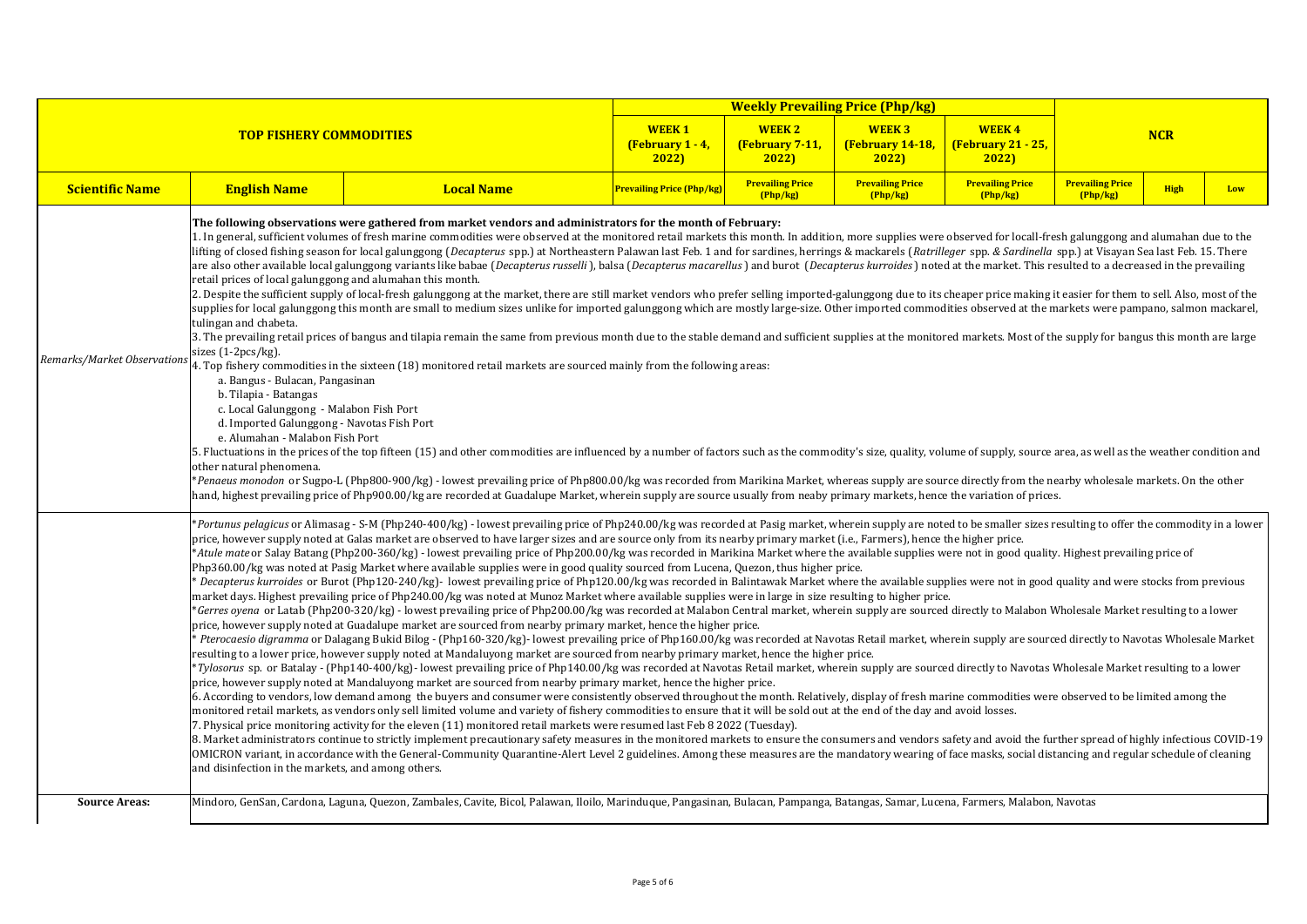|                             | <b>TOP FISHERY COMMODITIES</b>                                                                                                                                                                                                                                                                                                                                                                                                                                                                                                                                                                                                                                                                                                                                                                                                                                                                                                                                                                                                                                                                                                                                                                                                                                                                                                                                                                                                                                                                                                                                                                                                                                                                                                                                                                                                                                                                                                                                                                                                                                                                                                                                                                                                                                                                                                                                                                                                                                                                                                                                                                                                                                                                                                                                                                                                                                                                                                                                                                                                                                                                                                                                                                        |                                                                                                                                                                                   | <b>WEEK1</b><br>(February $1 - 4$ ,<br>2022) | <b>WEEK2</b><br>(February 7-11,<br>2022) | <b>WEEK3</b><br><b>(February 14-18,</b><br>2022) | <b>WEEK4</b><br>(February 21 - 25,<br>2022) | <b>NCR</b>                          |             |     |  |
|-----------------------------|-------------------------------------------------------------------------------------------------------------------------------------------------------------------------------------------------------------------------------------------------------------------------------------------------------------------------------------------------------------------------------------------------------------------------------------------------------------------------------------------------------------------------------------------------------------------------------------------------------------------------------------------------------------------------------------------------------------------------------------------------------------------------------------------------------------------------------------------------------------------------------------------------------------------------------------------------------------------------------------------------------------------------------------------------------------------------------------------------------------------------------------------------------------------------------------------------------------------------------------------------------------------------------------------------------------------------------------------------------------------------------------------------------------------------------------------------------------------------------------------------------------------------------------------------------------------------------------------------------------------------------------------------------------------------------------------------------------------------------------------------------------------------------------------------------------------------------------------------------------------------------------------------------------------------------------------------------------------------------------------------------------------------------------------------------------------------------------------------------------------------------------------------------------------------------------------------------------------------------------------------------------------------------------------------------------------------------------------------------------------------------------------------------------------------------------------------------------------------------------------------------------------------------------------------------------------------------------------------------------------------------------------------------------------------------------------------------------------------------------------------------------------------------------------------------------------------------------------------------------------------------------------------------------------------------------------------------------------------------------------------------------------------------------------------------------------------------------------------------------------------------------------------------------------------------------------------------|-----------------------------------------------------------------------------------------------------------------------------------------------------------------------------------|----------------------------------------------|------------------------------------------|--------------------------------------------------|---------------------------------------------|-------------------------------------|-------------|-----|--|
| <b>Scientific Name</b>      | <b>English Name</b>                                                                                                                                                                                                                                                                                                                                                                                                                                                                                                                                                                                                                                                                                                                                                                                                                                                                                                                                                                                                                                                                                                                                                                                                                                                                                                                                                                                                                                                                                                                                                                                                                                                                                                                                                                                                                                                                                                                                                                                                                                                                                                                                                                                                                                                                                                                                                                                                                                                                                                                                                                                                                                                                                                                                                                                                                                                                                                                                                                                                                                                                                                                                                                                   | <b>Local Name</b>                                                                                                                                                                 | <b>Prevailing Price (Php/kg)</b>             | <b>Prevailing Price</b><br>(Php/kg)      | <b>Prevailing Price</b><br>(Php/kg)              | <b>Prevailing Price</b><br>Php/kg           | <b>Prevailing Price</b><br>(Php/kg) | <b>High</b> | Low |  |
| Remarks/Market Observations | The following observations were gathered from market vendors and administrators for the month of February:<br>1. In general, sufficient volumes of fresh marine commodities were observed at the monitored retail markets this month. In addition, more supplies were observed for locall-fresh galunggong and alumahan due to the<br>lifting of closed fishing season for local galunggong (Decapterus spp.) at Northeastern Palawan last Feb. 1 and for sardines, herrings & mackarels (Ratrilleger spp. & Sardinella spp.) at Visayan Sea last Feb. 15. There<br>are also other available local galunggong variants like babae (Decapterus russelli), balsa (Decapterus macarellus) and burot (Decapterus kurroides) noted at the market. This resulted to a decreased in the prevailing<br>retail prices of local galunggong and alumahan this month.<br>2. Despite the sufficient supply of local-fresh galunggong at the market, there are still market vendors who prefer selling imported-galunggong due to its cheaper price making it easier for them to sell. Also, most of the<br>supplies for local galunggong this month are small to medium sizes unlike for imported galunggong which are mostly large-size. Other imported commodities observed at the markets were pampano, salmon mackarel,<br>tulingan and chabeta.<br>3. The prevailing retail prices of bangus and tilapia remain the same from previous month due to the stable demand and sufficient supplies at the monitored markets. Most of the supply for bangus this month are large<br>sizes (1-2pcs/kg).<br>4. Top fishery commodities in the sixteen (18) monitored retail markets are sourced mainly from the following areas:<br>a. Bangus - Bulacan, Pangasinan<br>b. Tilapia - Batangas<br>c. Local Galunggong - Malabon Fish Port<br>d. Imported Galunggong - Navotas Fish Port<br>e. Alumahan - Malabon Fish Port<br>5. Fluctuations in the prices of the top fifteen (15) and other commodities are influenced by a number of factors such as the commodity's size, quality, volume of supply, source area, as well as the weather condition and<br>other natural phenomena.<br>*Penaeus monodon or Sugpo-L (Php800-900/kg) - lowest prevailing price of Php800.00/kg was recorded from Marikina Market, whereas supply are source directly from the nearby wholesale markets. On the other<br>hand, highest prevailing price of Php900.00/kg are recorded at Guadalupe Market, wherein supply are source usually from neaby primary markets, hence the variation of prices.                                                                                                                                                                                                                                                                                                                                                                                                                                                                                                                                                                                                                                  |                                                                                                                                                                                   |                                              |                                          |                                                  |                                             |                                     |             |     |  |
|                             | Portunus pelagicus or Alimasag - S-M (Php240-400/kg) - lowest prevailing price of Php240.00/kg was recorded at Pasig market, wherein supply are noted to be smaller sizes resulting to offer the commodity in a lower<br>price, however supply noted at Galas market are observed to have larger sizes and are source only from its nearby primary market (i.e., Farmers), hence the higher price.<br>*Atule mate or Salay Batang (Php200-360/kg) - lowest prevailing price of Php200.00/kg was recorded in Marikina Market where the available supplies were not in good quality. Highest prevailing price of<br>Php360.00/kg was noted at Pasig Market where available supplies were in good quality sourced from Lucena, Quezon, thus higher price.<br>Becapterus kurroides or Burot (Php120-240/kg)-lowest prevailing price of Php120.00/kg was recorded in Balintawak Market where the available supplies were not in good quality and were stocks from previous<br>market days. Highest prevailing price of Php240.00/kg was noted at Munoz Market where available supplies were in large in size resulting to higher price.<br>*Gerres oyena or Latab (Php200-320/kg) - lowest prevailing price of Php200.00/kg was recorded at Malabon Central market, wherein supply are sourced directly to Malabon Wholesale Market resulting to a lower<br>price, however supply noted at Guadalupe market are sourced from nearby primary market, hence the higher price.<br>Pterocaesio digramma or Dalagang Bukid Bilog - (Php160-320/kg)- lowest prevailing price of Php160.00/kg was recorded at Navotas Retail market, wherein supply are sourced directly to Navotas Wholesale Market<br>resulting to a lower price, however supply noted at Mandaluyong market are sourced from nearby primary market, hence the higher price.<br>*Tylosorus sp. or Batalay - (Php140-400/kg)- lowest prevailing price of Php140.00/kg was recorded at Navotas Retail market, wherein supply are sourced directly to Navotas Wholesale Market resulting to a lower<br>price, however supply noted at Mandaluyong market are sourced from nearby primary market, hence the higher price.<br>6. According to vendors, low demand among the buyers and consumer were consistently observed throughout the month. Relatively, display of fresh marine commodities were observed to be limited among the<br>monitored retail markets, as vendors only sell limited volume and variety of fishery commodities to ensure that it will be sold out at the end of the day and avoid losses.<br>7. Physical price monitoring activity for the eleven (11) monitored retail markets were resumed last Feb 8 2022 (Tuesday).<br>8. Market administrators continue to strictly implement precautionary safety measures in the monitored markets to ensure the consumers and vendors safety and avoid the further spread of highly infectious COVID-19<br>OMICRON variant, in accordance with the General-Community Quarantine-Alert Level 2 guidelines. Among these measures are the mandatory wearing of face masks, social distancing and regular schedule of cleaning<br>and disinfection in the markets, and among others. |                                                                                                                                                                                   |                                              |                                          |                                                  |                                             |                                     |             |     |  |
| <b>Source Areas:</b>        |                                                                                                                                                                                                                                                                                                                                                                                                                                                                                                                                                                                                                                                                                                                                                                                                                                                                                                                                                                                                                                                                                                                                                                                                                                                                                                                                                                                                                                                                                                                                                                                                                                                                                                                                                                                                                                                                                                                                                                                                                                                                                                                                                                                                                                                                                                                                                                                                                                                                                                                                                                                                                                                                                                                                                                                                                                                                                                                                                                                                                                                                                                                                                                                                       | Mindoro, GenSan, Cardona, Laguna, Quezon, Zambales, Cavite, Bicol, Palawan, Iloilo, Marinduque, Pangasinan, Bulacan, Pampanga, Batangas, Samar, Lucena, Farmers, Malabon, Navotas |                                              |                                          |                                                  |                                             |                                     |             |     |  |